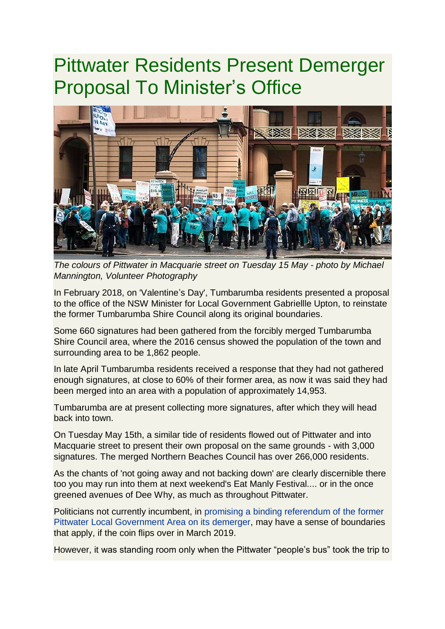## Pittwater Residents Present Demerger Proposal To Minister's Office



*The colours of Pittwater in Macquarie street on Tuesday 15 May - photo by Michael Mannington, Volunteer Photography*

In February 2018, on 'Valentine's Day', Tumbarumba residents presented a proposal to the office of the NSW Minister for Local Government Gabriellle Upton, to reinstate the former Tumbarumba Shire Council along its original boundaries.

Some 660 signatures had been gathered from the forcibly merged Tumbarumba Shire Council area, where the 2016 census showed the population of the town and surrounding area to be 1,862 people.

In late April Tumbarumba residents received a response that they had not gathered enough signatures, at close to 60% of their former area, as now it was said they had been merged into an area with a population of approximately 14,953.

Tumbarumba are at present collecting more signatures, after which they will head back into town.

On Tuesday May 15th, a similar tide of residents flowed out of Pittwater and into Macquarie street to present their own proposal on the same grounds - with 3,000 signatures. The merged Northern Beaches Council has over 266,000 residents.

As the chants of 'not going away and not backing down' are clearly discernible there too you may run into them at next weekend's Eat Manly Festival.... or in the once greened avenues of Dee Why, as much as throughout Pittwater.

Politicians not currently incumbent, in [promising a](http://www.pittwateronlinenews.com/Referendum-for-Pittwater-2019-State-Election.php) [binding referendum of the former](http://www.pittwateronlinenews.com/Referendum-for-Pittwater-2019-State-Election.php)  [Pittwater Local Government Area on its demerger,](http://www.pittwateronlinenews.com/Referendum-for-Pittwater-2019-State-Election.php) may have a sense of boundaries that apply, if the coin flips over in March 2019.

However, it was standing room only when the Pittwater "people's bus" took the trip to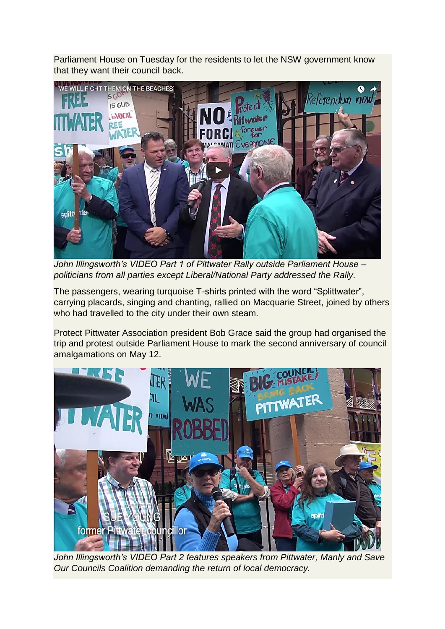Parliament House on Tuesday for the residents to let the NSW government know that they want their council back.



*John Illingsworth's VIDEO Part 1 of Pittwater Rally outside Parliament House – politicians from all parties except Liberal/National Party addressed the Rally.*

The passengers, wearing turquoise T-shirts printed with the word "Splittwater", carrying placards, singing and chanting, rallied on Macquarie Street, joined by others who had travelled to the city under their own steam.

Protect Pittwater Association president Bob Grace said the group had organised the trip and protest outside Parliament House to mark the second anniversary of council amalgamations on May 12.



*John Illingsworth's VIDEO Part 2 features speakers from Pittwater, Manly and Save Our Councils Coalition demanding the return of local democracy.*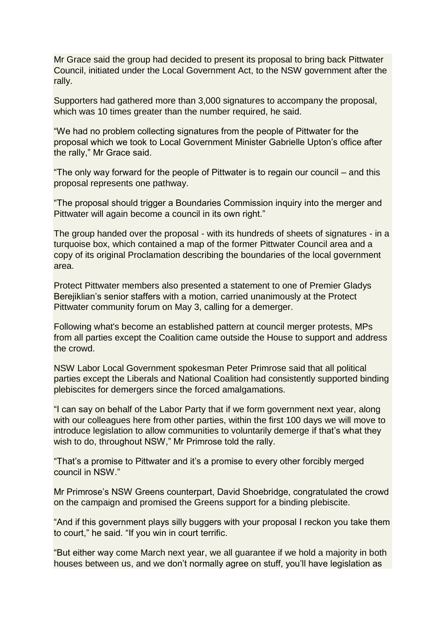Mr Grace said the group had decided to present its proposal to bring back Pittwater Council, initiated under the Local Government Act, to the NSW government after the rally.

Supporters had gathered more than 3,000 signatures to accompany the proposal, which was 10 times greater than the number required, he said.

"We had no problem collecting signatures from the people of Pittwater for the proposal which we took to Local Government Minister Gabrielle Upton's office after the rally," Mr Grace said.

"The only way forward for the people of Pittwater is to regain our council – and this proposal represents one pathway.

"The proposal should trigger a Boundaries Commission inquiry into the merger and Pittwater will again become a council in its own right."

The group handed over the proposal - with its hundreds of sheets of signatures - in a turquoise box, which contained a map of the former Pittwater Council area and a copy of its original Proclamation describing the boundaries of the local government area.

Protect Pittwater members also presented a statement to one of Premier Gladys Berejiklian's senior staffers with a motion, carried unanimously at the Protect Pittwater community forum on May 3, calling for a demerger.

Following what's become an established pattern at council merger protests, MPs from all parties except the Coalition came outside the House to support and address the crowd.

NSW Labor Local Government spokesman Peter Primrose said that all political parties except the Liberals and National Coalition had consistently supported binding plebiscites for demergers since the forced amalgamations.

"I can say on behalf of the Labor Party that if we form government next year, along with our colleagues here from other parties, within the first 100 days we will move to introduce legislation to allow communities to voluntarily demerge if that's what they wish to do, throughout NSW," Mr Primrose told the rally.

"That's a promise to Pittwater and it's a promise to every other forcibly merged council in NSW."

Mr Primrose's NSW Greens counterpart, David Shoebridge, congratulated the crowd on the campaign and promised the Greens support for a binding plebiscite.

"And if this government plays silly buggers with your proposal I reckon you take them to court," he said. "If you win in court terrific.

"But either way come March next year, we all guarantee if we hold a majority in both houses between us, and we don't normally agree on stuff, you'll have legislation as